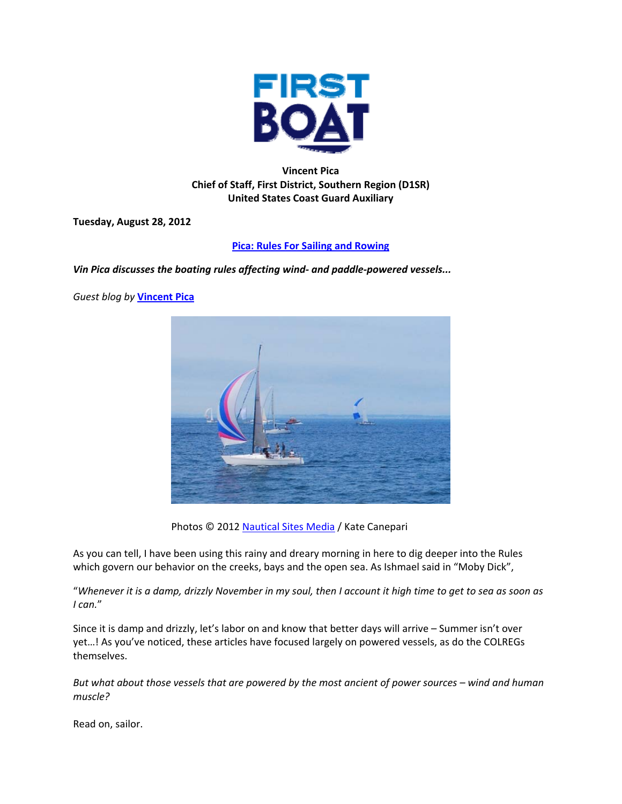

## **Vincent Pica Chief of Staff, First District, Southern Region (D1SR) United States Coast Guard Auxiliary**

**Tuesday, August 28, 2012**

## **Pica: Rules For Sailing and Rowing**

*Vin Pica discusses the boating rules affecting wind‐ and paddle‐powered vessels...*

*Guest blog by* **Vincent Pica**



Photos © 2012 Nautical Sites Media / Kate Canepari

As you can tell, I have been using this rainy and dreary morning in here to dig deeper into the Rules which govern our behavior on the creeks, bays and the open sea. As Ishmael said in "Moby Dick",

"Whenever it is a damp, drizzly November in my soul, then I account it high time to get to sea as soon as *I can.*"

Since it is damp and drizzly, let's labor on and know that better days will arrive – Summer isn't over yet…! As you've noticed, these articles have focused largely on powered vessels, as do the COLREGs themselves.

But what about those vessels that are powered by the most ancient of power sources - wind and human *muscle?*

Read on, sailor.